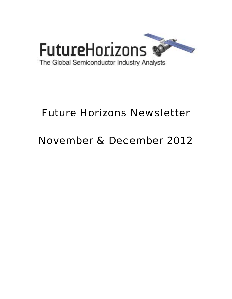

# Future Horizons Newsletter

## November & December 2012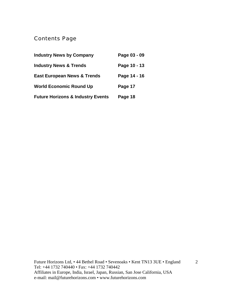## Contents Page

| <b>Industry News by Company</b>              | Page 03 - 09 |
|----------------------------------------------|--------------|
| <b>Industry News &amp; Trends</b>            | Page 10 - 13 |
| <b>East European News &amp; Trends</b>       | Page 14 - 16 |
| <b>World Economic Round Up</b>               | Page 17      |
| <b>Future Horizons &amp; Industry Events</b> | Page 18      |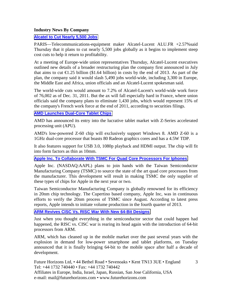#### **Industry News By Company**

#### **[Alcatel to Cut Nearly 5,500 Jobs](http://online.wsj.com/article/SB10000872396390444734804578064123188614666.html?mod=djemWorldAtGlance#printMode)**

PARIS—Telecommunications-equipment maker Alcatel-Lucent ALU.FR +2.57%said Thursday that it plans to cut nearly 5,500 jobs globally as it begins to implement steep cost cuts to help it return to profitability.

At a meeting of Europe-wide union representatives Thursday, Alcatel-Lucent executives outlined new details of a broader restructuring plan the company first announced in July that aims to cut  $\epsilon$ 1.25 billion (\$1.64 billion) in costs by the end of 2013. As part of the plan, the company said it would slash 5,490 jobs world-wide, including 3,300 in Europe, the Middle East and Africa, union officials and an Alcatel-Lucent spokesman said.

The world-wide cuts would amount to 7.2% of Alcatel-Lucent's world-wide work force of 76,002 as of Dec. 31, 2011. But the ax will fall especially hard in France, where union officials said the company plans to eliminate 1,430 jobs, which would represent 15% of the company's French work force at the end of 2011, according to securities filings.

#### **[AMD Launches Dual-Core Tablet Chips](http://www.eetindia.co.in/ART_8800676130_1800012_NT_004c6ec5.HTM?click_from=8800099010,9950114561,2012-10-10,EEIOL,ARTICLE_ALERT)**

AMD has announced its entry into the lucrative tablet market with Z-Series accelerated processing unit (APU).

AMD's low-powered Z-60 chip will exclusively support Windows 8. AMD Z-60 is a 1GHz dual-core processor that boasts 80 Radeon graphics cores and has a 4.5W TDP.

It also features support for USB 3.0, 1080p playback and HDMI output. The chip will fit into form factors as thin as 10mm.

#### **[Apple Inc. To Collaborate With TSMC For Quad Core Processors For Iphones](http://statesmansentinel.com/2012/10/15/apple-inc-nasdaqaapl-to-collaborate-with-tsmc-for-quad-core-processors-for-iphones/)**

Apple Inc. (NASDAQ:AAPL) plans to join hands with the Taiwan Semiconductor Manufacturing Company (TSMC) to source the state of the art quad core processors from the manufacturer. This development will result in making TSMC the only supplier of these types of chips for Apple in the next year or two.

Taiwan Semiconductor Manufacturing Company is globally renowned for its efficiency in 20nm chip technology. The Cupertino based company, Apple Inc, was in continuous efforts to verify the 20nm process of TSMC since August. According to latest press reports, Apple intends to initiate volume production in the fourth quarter of 2013.

## **[ARM Revives CISC Vs. RISC War With New 64-Bit Designs](http://www.pcmag.com/article2/0,2817,2411572,00.asp)**

Just when you thought everything in the semiconductor sector that could happen had happened, the RISC vs. CISC war is rearing its head again with the introduction of 64-bit processors from ARM.

ARM, which has cleaned up in the mobile market over the past several years with the explosion in demand for low-power smartphone and tablet platforms, on Tuesday announced that it is finally bringing 64-bit to the mobile space after half a decade of development.

3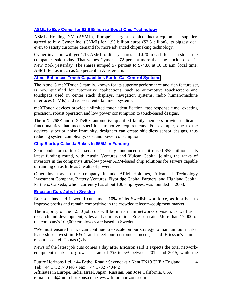## **[ASML to Buy Cymer for \\$2.6 Billion to Boost Chip Technology](http://www.businessweek.com/news/2012-10-17/asml-to-buy-cymer-for-2-dot-55-billion-to-speed-up-euv-development)**

ASML Holding NV (ASML), Europe's largest semiconductor-equipment supplier, agreed to buy Cymer Inc. (CYMI) for 1.95 billion euros (\$2.6 billion), its biggest deal ever, to satisfy customer demand for more advanced chipmaking technology.

Cymer investors will get 1.15 ASML ordinary shares and \$20 in cash for each stock, the companies said today. That values Cymer at 72 percent more than the stock's close in New York yesterday. The shares jumped 57 percent to \$74.86 at 10:18 a.m. local time. ASML fell as much as 5.6 percent in Amsterdam.

## **[Atmel Enhances Touch Capabilities For In-Car Control Systems](http://www.atmel.com/microsite/maxtouch_eseries_automotive/)**

The Atmel® maXTouch® family, known for its superior performance and rich feature set, is now qualified for automotive applications, such as automotive touchscreens and touchpads used in center stack displays, navigation systems, radio human-machine interfaces (HMIs) and rear-seat entertainment systems.

maXTouch devices provide unlimited touch identification, fast response time, exacting precision, robust operation and low power consumption to touch-based designs.

The mXT768E and mXT540E automotive-qualified family members provide dedicated functionalities that meet specific automotive requirements. For example, due to the devices' superior noise immunity, designers can create shieldless sensor designs, thus reducing system complexity, cost and power consumption.

#### **[Chip Startup Calxeda Rakes In \\$55M In Funding](http://www.pcmag.com/article2/0,2817,2410769,00.asp)**

Semiconductor startup Calxeda on Tuesday announced that it raised \$55 million in its latest funding round, with Austin Ventures and Vulcan Capital joining the ranks of investors in the company's utra-low power ARM-based chip solutions for servers capable of running on as little as 5 watts of power.

Other investors in the company include ARM Holdings, Advanced Technology Investment Company, Battery Ventures, Flybridge Capital Partners, and Highland Capital Partners. Calxeda, which currently has about 100 employees, was founded in 2008.

#### **[Ericsson Cuts Jobs In Sweden](http://online.wsj.com/article/SB10001424127887323894704578104390681470624.html?mod=djemTechEurope_t)**

Ericsson has said it would cut almost 10% of its Swedish workforce, as it strives to improve profits and remain competitive in the crowded telecom-equipment market.

The majority of the 1,550 job cuts will be in its main networks division, as well as in research and development, sales and administration, Ericsson said. More than 17,000 of the company's 109,000 employees are based in Sweden.

"We must ensure that we can continue to execute on our strategy to maintain our market leadership, invest in R&D and meet our customers' needs," said Ericsson's human resources chief, Tomas Qvist.

News of the latest job cuts comes a day after Ericsson said it expects the total networkequipment market to grow at a rate of 3% to 5% between 2012 and 2015, while the

4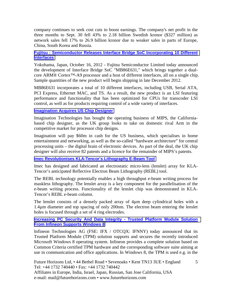company continues to seek cost cuts to boost earnings. The company's net profit in the three months to Sept. 30 fell 43% to 2.18 billion Swedish kronor (\$327 million) as network sales fell 17% to 26.9 billion kronor due to weaker sales in parts of Europe, China, South Korea and Russia.

#### **[Fujitsu : Semiconductor Releases Interface Bridge SoC Incorporating 10 Different](http://www.4-traders.com/FUJITSU-6492460/news/Fujitsu-Semiconductor-Releases-Interface-Bridge-SoC-Incorporating-10-Different-Interfaces-15386173/)  [Interfaces](http://www.4-traders.com/FUJITSU-6492460/news/Fujitsu-Semiconductor-Releases-Interface-Bridge-SoC-Incorporating-10-Different-Interfaces-15386173/)**

Yokohama, Japan, October 16, 2012 - Fujitsu Semiconductor Limited today announced the development of Interface Bridge SoC "MB86E631," which brings together a dualcore ARM® Cortex™-A9 processor and a host of different interfaces, all on a single chip. Sample quantities of the new product will begin shipping in late December 2012.

MB86E631 incorporates a total of 10 different interfaces, including USB, Serial ATA, PCI Express, Ethernet MAC, and TS. As a result, the new product is an LSI featuring performance and functionality that has been optimized for CPUs for transcoder LSI control, as well as for products requiring control of a wide variety of interfaces.

## **[Imagination Acquires US Chip Designer](http://www.ft.com/cms/s/0/9f1e2102-2822-11e2-afd2-00144feabdc0.html#axzz2BXEPW8UR)**

Imagination Technologies has bought the operating business of MIPS, the Californiabased chip designer, as the UK group looks to take on domestic rival Arm in the competitive market for processor chip designs.

Imagination will pay \$60m in cash for the US business, which specialises in home entertainment and networking, as well as the so-called "hardware architecture" for central processing units – the digital brain of electronic devices. As part of the deal, the UK chip designer will also receive 82 patents and a licence for the remainder of MIPS's patents.

#### **[Imec Revolutionises KLA-Tencor's Lithography E-Beam Tool](http://www.siliconsemiconductor.net/article/76260-Imec-revolutionises-KLA-Tencor-acirc-s-Lithography-e-beam-tool.php)**

Imec has designed and fabricated an electrostatic micro-lens (lenslet) array for KLA-Tencor's anticipated Reflective Electron Beam Lithography (REBL) tool.

The REBL technology potentially enables a high throughput e-beam writing process for maskless lithography. The lenslet array is a key component for the parallelisation of the e-beam writing process. Functionality of the lenslet chip was demonstrated in KLA-Tencor's REBL e-beam column.

The lenslet consists of a densely packed array of 4µm deep cylindrical holes with a 1.4µm diameter and top spacing of only 200nm. The electron beam entering the lenslet holes is focused through a set of 4 ring electrodes.

## **[Increasing PC Security And Data Integrity - Trusted Platform Module Solution](http://www.infineon.com/cms/en/corporate/press/news/releases/2012/INFCCS2012011-008.html)  [From Infineon Supports Windows 8](http://www.infineon.com/cms/en/corporate/press/news/releases/2012/INFCCS2012011-008.html)**

Infineon Technologies AG (FSE: IFX / OTCQX: IFNNY) today announced that its Trusted Platform Module (TPM) solution supports and secures the recently introduced Microsoft Windows 8 operating system. Infineon provides a complete solution based on Common Criteria certified TPM hardware and the corresponding software suite aiming at use in communication and office applications. In Windows 8, the TPM is used e.g. in the

5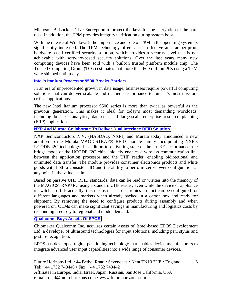Microsoft BitLocker Drive Encryption to protect the keys for the encryption of the hard disk. In addition, the TPM provides integrity verification during system boot.

With the release of Windows 8 the importance and role of TPM in the operating system is significantly increased. The TPM technology offers a cost-effective and tamper-proof hardware-based certified security solution, which provides a security level that is not achievable with software-based security solutions. Over the last years many new computing devices have been sold with a built-in trusted platform module chip. The Trusted Computing Group (TCG) estimates that more than 600 million PCs using a TPM were shipped until today.

## **[Intel's Itanium Processor 9500 Breaks Barriers](http://www.siliconsemiconductor.net/article/76298-Intel-039-s-Itanium-Processor-9500-Breaks-Barriers.php)**

In an era of unprecedented growth in data usage, businesses require powerful computing solutions that can deliver scalable and resilient performance to run IT's most missioncritical applications.

The new Intel Itanium processor 9500 series is more than twice as powerful as the previous generation. This makes it ideal for today's most demanding workloads, including business analytics, database, and large-scale enterprise resource planning (ERP) applications.

## **[NXP And Murata Collaborate To Deliver Dual Interface RFID Solution](http://www.melodika.net/index.php?option=com_content&task=view&id=466227&Itemid=55)**

NXP Semiconductors N.V. (NASDAQ: NXPI) and Murata today announced a new addition to the Murata MAGICSTRAP® RFID module family incorporating NXP's UCODE I2C technology. In addition to delivering state-of-the-art RF performance, the bridge mode of the UCODE I2C chip uniquely enables a wireless communication link between the application processor and the UHF reader, enabling bidirectional and unlimited data transfer. The module provides consumer electronics products and white goods with both a consistent ID and the ability to perform zero-power configuration at any point in the value chain.

Based on passive UHF RFID standards, data can be read or written into the memory of the MAGICSTRAP+I²C using a standard UHF reader, even while the device or appliance is switched off. Practically, this means that an electronics product can be configured for different languages and markets when already packed in a carton box and ready for shipment. By removing the need to configure products during assembly and when powered on, OEMs can make significant savings in manufacturing and logistics costs by responding precisely to regional and model demand.

## **[Qualcomm Buys Assets Of EPOS](http://www.eetindia.co.in/ART_8800678205_1800001_NT_e7108684.HTM)**

Chipmaker Qualcomm Inc. acquires certain assets of Israel-based EPOS Development Ltd, a developer of ultrasound technologies for input solutions, including pen, stylus and gesture recognition.

EPOS has developed digital positioning technology that enables device manufacturers to integrate advanced user input capabilities into a wide range of consumer devices.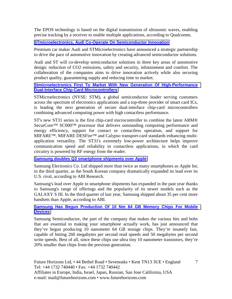The EPOS technology is based on the digital transmission of ultrasonic waves, enabling precise tracking by a receiver to enable multiple applications, according to Qualcomm.

## **[STmicroelectronics, Audi Co-Operate On Semiconductor Innovation](http://voicendata.ciol.com/content/news1/112102508.asp)**

Premium car maker Audi and STMicroelectronics have announced a strategic partnership to drive the pace of automotive innovation by creating advanced semiconductor solutions.

Audi and ST will co-develop semiconductor solutions in three key areas of automotive design: reduction of CO2 emissions, safety and security, infotainment and comfort. The collaboration of the companies aims to drive innovation actively while also securing product quality, guaranteeing supply and reducing time to market.

## **[Stmicroelectronics First To Market With New Generation Of High-Performance](http://www.st.com/internet/com/press_release/p3347.jsp)  [Dual-Interface Chip-Card Microcontrollers](http://www.st.com/internet/com/press_release/p3347.jsp)**

STMicroelectronics (NYSE: STM), a global semiconductor leader serving customers across the spectrum of electronics applications and a top-three provider of smart card ICs, is leading the next generation of secure dual-interface chip-card microcontrollers combining advanced computing power with high contactless performance.

ST's new ST31 series is the first chip-card microcontroller to combine the latest ARM® SecurCore™ SC000™ processor that delivers outstanding computing performance and energy efficiency, support for contact or contactless operation, and support for MIFARE™, MIFARE DESFire™ and Calypso transport-card standards enhancing multiapplication versatility. The ST31's extremely low-power architecture helps improve communication speed and reliability in contactless applications, in which the card circuitry is powered by RF energy from the reader.

**[Samsung doubles Q3 smartphone shipments over Apple](http://www.eetindia.co.in/ART_8800677196_1800005_NT_f0225eb1.HTM?click_from=8800099399,9950114561,2012-10-29,EEIOL,ARTICLE_ALERT)**

Samsung Electronics Co. Ltd shipped more than twice as many smartphones as Apple Inc. in the third quarter, as the South Korean company dramatically expanded its lead over its U.S. rival, according to ABI Research.

Samsung's lead over Apple in smartphone shipments has expanded in the past year thanks to Samsung's range of offerings and the popularity of its newer models such as the GALAXY S III. In the third quarter of last year, Samsung shipped about 35 per cent more handsets than Apple, according to ABI.

## **[Samsung Has Begun Production Of 10 Nm 64 GB Memory Chips For Mobile](http://www.androidauthority.com/new-samsung-10nm-chips-131593/)  [Devices](http://www.androidauthority.com/new-samsung-10nm-chips-131593/)**

Samsung Semiconductor, the part of the company that makes the various bits and bobs that are essential to making your smartphone actually work, has just announced that they've begun producing 10 nanometer 64 GB storage chips. They're insanely fast, capable of hitting 260 megabytes per second read speeds and 50 megabytes per second write speeds. Best of all, since these chips use ultra tiny 10 nanometer transistors, they're 20% smaller than chips from the previous generation.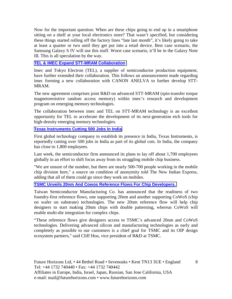Now for the important question: When are these chips going to end up in a smartphone sitting on a shelf at your local electronics store? That wasn't specified, but considering these things started rolling off the factory lines "late last month", it's likely going to take at least a quarter or two until they get put into a retail device. Best case scenario, the Samsung Galaxy S IV will use this stuff. Worst case scenario, it'll be in the Galaxy Note III. This is all speculation by the way.

## **[TEL & IMEC Expand STT-MRAM Collaboration](http://www.siliconsemiconductor.net/article/76308-TEL-and-imec-Expand-STT-MRAM-Collaboration.php)**

Imec and Tokyo Electron (TEL), a supplier of semiconductor production equipment, have further extended their collaboration. This follows an announcement made regarding imec forming a new collaboration with CANON ANELVA to further develop STT-MRAM.

The new agreement comprises joint R&D on advanced STT-MRAM (spin-transfer torque magnetoresistive random access memory) within imec's research and development program on emerging memory technologies.

The collaboration between imec and TEL on STT-MRAM technology is an excellent opportunity for TEL to accelerate the development of its next-generation etch tools for high-density emerging memory technologies.

## **[Texas Instruments Cutting 500 Jobs In India](http://www.eetindia.co.in/ART_8800678467_1800012_NT_9921d857.HTM?click_from=8800099757,9950114561,2012-11-23,EEIOL,ARTICLE_ALERT)**

First global technology company to establish its presence in India, Texas Instruments, is reportedly cutting over 500 jobs in India as part of its global cuts. In India, the company has close to 1,800 employees.

Last week, the semiconductor firm announced its plans to lay off about 1,700 employees globally in an effort to shift focus away from its struggling mobile chip business.

"We are unsure of the number, but there are nearly 500-700 people working in the mobile chip division here," a source on condition of anonymity told The New Indian Express, adding that all of them could go since they work on mobiles.

#### **[TSMC Unveils 20nm And Cowos Reference Flows For Chip Developers.](http://www.xbitlabs.com/news/other/display/20121009184344_TSMC_Unveils_20nm_and_CoWoS_Reference_Flows_for_Chip_Developers.html)**

Taiwan Semiconductor Manufacturing Co. has announced that the readiness of two foundry-first reference flows, one supporting 20nm and another supporting CoWoS (chip on wafer on substrate) technologies. The new 20nm reference flow will help chip designers to start making 20nm chips with double patterning, whereas CoWoS will enable multi-die integration for complex chips.

"These reference flows give designers access to TSMC's advanced 20nm and CoWoS technologies. Delivering advanced silicon and manufacturing technologies as early and completely as possible to our customers is a chief goal for TSMC and its OIP design ecosystem partners," said Cliff Hou, vice president of R&D at TSMC.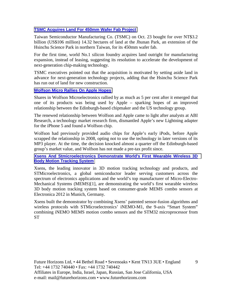## **[TSMC Acquires Land For 450mm Wafer Fab Project](http://news.cens.com/cens/html/en/news/news_inner_41898.html)**

Taiwan Semiconductor Manufacturing Co. (TSMC) on Oct. 23 bought for over NT\$3.2 billion (US\$106 million) 14.32 hectares of land at the Jhunan Park, an extension of the Hsinchu Science Park in northern Taiwan, for its 450mm wafer fab.

For the first time, world No.1 silicon foundry acquires land outright for manufacturing expansion, instead of leasing, suggesting its resolution to accelerate the development of next-generation chip-making technology.

TSMC executives pointed out that the acquisition is motivated by setting aside land in advance for next-generation technology projects, adding that the Hsinchu Science Park has run out of land for new construction.

## **[Wolfson Micro Rallies On Apple Hopes](http://www.ft.com/cms/s/0/0eb74294-16e1-11e2-8989-00144feabdc0.html)**

Shares in Wolfson Microelectronics rallied by as much as 5 per cent after it emerged that one of its products was being used by Apple – sparking hopes of an improved relationship between the Edinburgh-based chipmaker and the US technology group.

The renewed relationship between Wolfson and Apple came to light after analysts at ABI Research, a technology market research firm, dismantled Apple's new Lightning adapter for the iPhone 5 and found a Wolfson chip.

Wolfson had previously provided audio chips for Apple's early iPods, before Apple scrapped the relationship in 2008, opting not to use the technology in later versions of its MP3 player. At the time, the decision knocked almost a quarter off the Edinburgh-based group's market value, and Wolfson has not made a pre-tax profit since.

**[Xsens And Stmicroelectronics Demonstrate World's First Wearable Wireless 3D](http://www.azosensors.com/news.aspx?newsID=5027)  [Body Motion Tracking System](http://www.azosensors.com/news.aspx?newsID=5027)**

Xsens, the leading innovator in 3D motion tracking technology and products, and STMicroelectronics, a global semiconductor leader serving customers across the spectrum of electronics applications and the world's top manufacturer of Micro-Electro-Mechanical Systems (MEMS)[1], are demonstrating the world's first wearable wireless 3D body motion tracking system based on consumer-grade MEMS combo sensors at Electronica 2012 in Munich, Germany.

Xsens built the demonstrator by combining Xsens' patented sensor-fusion algorithms and wireless protocols with STMicroelectronics' iNEMO-M1, the 9-axis "Smart System" combining iNEMO MEMS motion combo sensors and the STM32 microprocessor from **ST**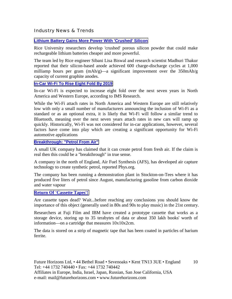## Industry News & Trends

### **[Lithium Battery Gains More Power With 'Crushed' Silicon](http://www.eetindia.co.in/ART_8800677531_1800008_NT_3b00d335.HTM?click_from=8800099519,9950114561,2012-11-05,EEIOL,ARTICLE_ALERT)**

Rice University researchers develop 'crushed' porous silicon powder that could make rechargeable lithium batteries cheaper and more powerful.

The team led by Rice engineer Sibani Lisa Biswal and research scientist Madhuri Thakur reported that their silicon-based anode achieved 600 charge-discharge cycles at 1,000 milliamp hours per gram  $(mAh/g)$ —a significant improvement over the 350mAh/g capacity of current graphite anodes.

#### **[In-Car Wi-Fi To Rise Eight Fold By 2019](http://www.eetindia.co.in/ART_8800677323_1800005_NT_d6cf087b.HTM?click_from=8800099436,9950114561,2012-10-31,EEIOL,ARTICLE_ALERT)**

In-car Wi-Fi is expected to increase eight fold over the next seven years in North America and Western Europe, according to IMS Research.

While the Wi-Fi attach rates in North America and Western Europe are still relatively low with only a small number of manufacturers announcing the inclusion of Wi-Fi as a standard or as an optional extra, it is likely that Wi-Fi will follow a similar trend to Bluetooth, meaning over the next seven years attach rates in new cars will ramp up quickly. Historically, Wi-Fi was not considered for in-car applications, however, several factors have come into play which are creating a significant opportunity for Wi-Fi automotive applications

#### **[Breakthrough: "Petrol From Air"](http://www.eetindia.co.in/ART_8800677028_1800008_NT_0738bcae.HTM?click_from=8800099436,9950114561,2012-10-31,EEIOL,ARTICLE_ALERT)**

A small UK company has claimed that it can create petrol from fresh air. If the claim is real then this could be a "breakthrough" in true sense.

A company in the north of England, Air Fuel Synthesis (AFS), has developed air capture technology to create synthetic petrol, reported Phys.org.

The company has been running a demonstration plant in Stockton-on-Tees where it has produced five liters of petrol since August, manufacturing gasoline from carbon dioxide and water vapour

#### **[Return Of 'Cassette Tapes'!](http://www.eetindia.co.in/ART_8800676856_1800009_NT_202e020a.HTM?click_from=8800099436,9950114561,2012-10-31,EEIOL,ARTICLE_ALERT)**

Are cassette tapes dead? Wait...before reaching any conclusions you should know the importance of this object (generally used in 80s and 90s to play music) in the 21st century.

Researchers at Fuji Film and IBM have created a prototype cassette that works as a storage device, storing up to 35 terabytes of data or about 350 lakh books' worth of information—on a cartridge that measures 10x10x2cm.

The data is stored on a strip of magnetic tape that has been coated in particles of barium ferrite.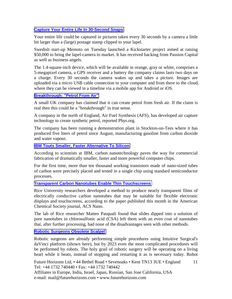## **[Capture Your Entire Life In 30-Second Snaps](http://blogs.wsj.com/tech-europe/2012/10/23/capture-your-entire-life-in-30-second-snaps/?mod=djemTechEurope_t=djemTECH)**

Your entire life could be captured in pictures taken every 30 seconds by a camera a little bit larger than a (large) postage stamp clipped to your lapel.

Swedish start-up Memoto on Tuesday launched a Kickstarter project aimed at raising \$50,000 to bring the lapel-camera to market. It has received backing from Passion Capital as well as business angels.

The 1.4-square-inch device, which will be available in orange, gray or white, comprises a 5-megapixel camera, a GPS receiver and a battery the company claims lasts two days on a charge. Every 30 seconds the camera wakes up and takes a picture. Images are uploaded via a micro USB cable connection to your computer and from there to the cloud, where they can be viewed in a timeline via a mobile app for Android or iOS.

## **[Breakthrough: "Petrol From Air"](http://www.eetindia.co.in/ART_8800677028_1800008_NT_0738bcae.HTM?click_from=8800099356,9950114561,2012-10-26,EEIOL,ARTICLE_ALERT)**

A small UK company has claimed that it can create petrol from fresh air. If the claim is real then this could be a "breakthrough" in true sense.

A company in the north of England, Air Fuel Synthesis (AFS), has developed air capture technology to create synthetic petrol, reported Phys.org.

The company has been running a demonstration plant in Stockton-on-Tees where it has produced five liters of petrol since August, manufacturing gasoline from carbon dioxide and water vapour.

## **[IBM Touts Smaller, Faster Alternative To Silicon](http://www.eetindia.co.in/ART_8800677471_1800007_NT_eb791c5c.HTM?click_from=8800099476,9950114561,2012-11-02,EEIOL,ARTICLE_ALERT)**

According to scientists at IBM, carbon nanotechnology paves the way for commercial fabrication of dramatically smaller, faster and more powerful computer chips.

For the first time, more than ten thousand working transistors made of nano-sized tubes of carbon were precisely placed and tested in a single chip using standard semiconductor processes.

#### **[Transparent Carbon Nanotubes Enable Thin Touchscreens](http://www.eetindia.co.in/ART_8800677390_1800010_NT_82cf2179.HTM?click_from=8800099476,9950114561,2012-11-02,EEIOL,ARTICLE_ALERT)**

Rice University researchers developed a method to produce nearly transparent films of electrically conductive carbon nanotubes that may be suitable for flexible electronic displays and touchscreens, according to the paper published this month in the American Chemical Society journal, ACS Nano.

The lab of Rice researcher Matteo Pasquali found that slides dipped into a solution of pure nanotubes in chlorosulfonic acid (CSA) left them with an even coat of nanotubes that, after further processing, had none of the disadvantages seen with other methods.

## **[Robotic Surgeons Obsolete Scalpel](http://www.eetimes.com/electronics-news/4400608/Slideshow--Emerging-Technologies-changing-the-world-in-next-ten-years?pageNumber=7)**

Robotic surgeons are already performing simple procedures using Intuitive Surgical's daVinci platform (shown here), but by 2023 even the most complicated procedures will be performed by robots. The holy grail of robotic surgery will be operating on a living heart while it beats, instead of stopping and restarting it as is necessary today. Robot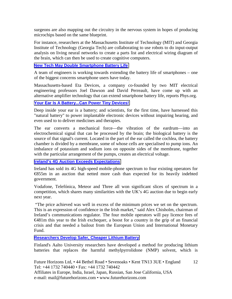surgeons are also mapping out the circuitry in the nervous system in hopes of producing microchips based on the same blueprint.

For instance, researchers at the Massachusetts Institute of Technology (MIT) and Georgia Institute of Technology (Georgia Tech) are collaborating to use robots to do input-output analysis on living neural networks to create a parts list and electrical wiring diagram of the brain, which can then be used to create cognitive computers.

### **[New Tech May Double Smartphone Battery Life](http://www.eetindia.co.in/ART_8800677764_1800008_NT_10826115.HTM?click_from=8800099564,9950114561,2012-11-08,EEIOL,ARTICLE_ALERT)**

A team of engineers is working towards extending the battery life of smartphones – one of the biggest concerns smartphone users have today.

Massachusetts-based Eta Devices, a company co-founded by two MIT electrical engineering professors Joel Dawson and David Perreault, have come up with an alternative amplifier technology that can extend smartphone battery life, reports Phys.org.

## **[Your Ear Is A Battery...Can Power Tiny Devices!](http://www.eetindia.co.in/ART_8800677829_1800008_NT_979dd535.HTM?click_from=8800099575,9950114561,2012-11-09,EEIOL,ARTICLE_ALERT)**

Deep inside your ear is a battery; and scientists, for the first time, have harnessed this "natural battery" to power implantable electronic devices without impairing hearing, and even used to to deliver medicines and therapies.

The ear converts a mechanical force—the vibration of the eardrum—into an electrochemical signal that can be processed by the brain; the biological battery is the source of that signal's current. Located in the part of the ear called the cochlea, the battery chamber is divided by a membrane, some of whose cells are specialised to pump ions. An imbalance of potassium and sodium ions on opposite sides of the membrane, together with the particular arrangement of the pumps, creates an electrical voltage.

**[Ireland's 4G Auction Exceeds Expectations](http://www.ft.com/cms/s/0/7073c99a-2f27-11e2-b88b-00144feabdc0.html#axzz2CfLhe7YB)**

Ireland has sold its 4G high-speed mobile-phone spectrum to four existing operators for €855m in an auction that netted more cash than expected for its heavily indebted government.

Vodafone, Telefónica, Meteor and Three all won significant slices of spectrum in a competition, which shares many similarities with the UK's 4G auction due to begin early next year.

 "The price achieved was well in excess of the minimum prices we set on the spectrum. This is an expression of confidence in the Irish market," said Alex Chisholm, chairman of Ireland's communications regulator. The four mobile operators will pay licence fees of €481m this year to the Irish exchequer, a boost for a country in the grip of an financial crisis and that needed a bailout from the European Union and International Monetary Fund.

**[Researchers Develop Safer, Cheaper Lithium Battery](http://www.eetindia.co.in/ART_8800678108_1800008_NT_5796c119.HTM?click_from=8800099715,9950114561,2012-11-20,EEIOL,ARTICLE_ALERT)**

Finland's Aalto University researchers have developed a method for producing lithium batteries that replaces the harmful methylpyrrolidone (NMP) solvent, which is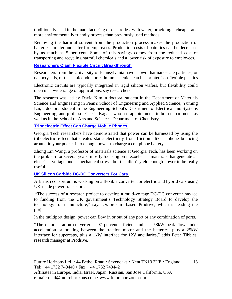traditionally used in the manufacturing of electrodes, with water, providing a cheaper and more environmentally friendly process than previously used methods.

Removing the harmful solvent from the production process makes the production of batteries simpler and safer for employees. Production costs of batteries can be decreased by as much as 5 per cent. Some of this savings comes from the reduced cost of transporting and recycling harmful chemicals and a lower risk of exposure to employees.

## **[Researchers Claim Flexible Circuit Breakthrough](http://www.eetindia.co.in/ART_8800678736_1800001_NT_eb4578cc.HTM?click_from=8800099836,9950114561,2012-11-29,EEIOL,ARTICLE_ALERT)**

Researchers from the University of Pennsylvania have shown that nanoscale particles, or nanocrystals, of the semiconductor cadmium selenide can be "printed" on flexible plastics.

Electronic circuits are typically integrated in rigid silicon wafers, but flexibility could open up a wide range of applications, say researchers.

The research was led by David Kim, a doctoral student in the Department of Materials Science and Engineering in Penn's School of Engineering and Applied Science; Yuming Lai, a doctoral student in the Engineering School's Department of Electrical and Systems Engineering; and professor Cherie Kagan, who has appointments in both departments as well as in the School of Arts and Sciences' Department of Chemistry.

## **[Triboelectric Effect Can Charge Mobile Phones](http://www.eetindia.co.in/ART_8800678538_1800008_NT_f54608df.HTM?click_from=8800099836,9950114561,2012-11-29,EEIOL,ARTICLE_ALERT)**

Georgia Tech researchers have demonstrated that power can be harnessed by using the triboelectric effect that creates static electricity from friction—like a phone bouncing around in your pocket into enough power to charge a cell phone battery.

Zhong Lin Wang, a professor of materials science at Georgia Tech, has been working on the problem for several years, mostly focusing on piezoelectric materials that generate an electrical voltage under mechanical stress, but this didn't yield enough power to be really useful.

#### **[UK Silicon Carbide DC-DC Converters For Cars](http://www.compoundsemiconductor.net/csc/news-details/id/19735781/name/UK-silicon-carbide-DC-DC-converters-for-car.html)**

A British consortium is working on a flexible converter for electric and hybrid cars using UK-made power transistors.

 "The success of a research project to develop a multi-voltage DC-DC converter has led to funding from the UK government's Technology Strategy Board to develop the technology for manufacture," says Oxfordshire-based Prodrive, which is leading the project.

In the multiport design, power can flow in or out of any port or any combination of ports.

"The demonstration converter is 97 percent efficient and has 58kW peak flow under acceleration or braking between the traction motor and the batteries, plus a 25kW interface for supercaps, plus a 1kW interface for 12V ancillaries," adds Peter Tibbles, research manager at Prodrive.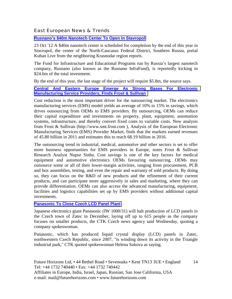## East European News & Trends

## **[Rusnano's \\$40m Nanotech Center To Open In Stavropol](http://www.marchmontnews.com/Technology-Innovation/South-West/19092-Rusnanos-40m-nanotech-center-open-Stavropol.html)**

23 Oct '12 A \$40m nanotech center is scheduled for completion by the end of this year in Stavropol, the center of the North-Caucasus Federal District, Southern Russia, portal Kuban Live from the neighboring Krasnodar region reports.

The Fund for Infrastructure and Educational Programs run by Russia's largest nanotech company, Rusnano (also known as the Rusnano InfraFund), is reportedly kicking in \$24.6m of the total investment.

By the end of this year, the last stage of the project will require \$5.8m, the source says.

### **[Central And Eastern Europe Emerge As Strong Bases For Electronic](http://www.menafn.com/menafn/a63d8abd-58ee-4c72-8433-d879080f4e77/Central-and-Eastern-Europe-Emerge-as-Strong-Bases-for-Electronic-Manufacturing-Service-Providers-Finds-Frost--Sullivan?src=main)  [Manufacturing Service Providers, Finds Frost & Sullivan](http://www.menafn.com/menafn/a63d8abd-58ee-4c72-8433-d879080f4e77/Central-and-Eastern-Europe-Emerge-as-Strong-Bases-for-Electronic-Manufacturing-Service-Providers-Finds-Frost--Sullivan?src=main)**

Cost reduction is the most important driver for the outsourcing market. The electronics manufacturing services (EMS) model yields an average of 10% to 15% in savings, which drives outsourcing from OEMs to EMS providers. By outsourcing, OEMs can reduce their capital expenditure and investments on property, plant, equipment, automation systems, infrastructure, and thereby convert fixed costs to variable costs. New analysis from Frost & Sullivan (http://www.smt.frost.com ), Analysis of the European Electronic Manufacturing Services (EMS) Provider Market, finds that the markets earned revenues of 45.80 billion in 2011 and estimates this to reach 68.19 billion in 2016.

The outsourcing trend in industrial, medical, automotive and other sectors is set to offer more business opportunities for EMS providers in Europe, notes Frost & Sullivan Research Analyst Nupur Sinha. Cost savings is one of the key factors for medical equipment and automotive electronics OEMs favouring outsourcing. OEMs may outsource some or all of their lower-margin activities, ranging from procurement, PCB and box assemblies, testing, and even the repair and warranty of sold products. By doing so, they can focus on the R&D of new products and the refinement of their current products, and can participate more aggressively in sales and marketing, where they can provide differentiation. OEMs can also access the advanced manufacturing, equipment, facilities and logistics capabilities set up by EMS providers without additional capital investments.

#### **[Panasonic To Close Czech LCD Panel Plant](http://www.industryweek.com/workforce/panasonic-close-czech-lcd-panel-plant)**

Japanese electronics giant Panasonic (IW 1000/31) will halt production of LCD panels in the Czech town of Zatec in December, laying off up to 615 people as the company focuses on smaller products, the CTK Czech news agency said Wednesday, quoting a company spokeswoman.

Panasonic, which has produced liquid crystal display (LCD) panels in Zatec, northwestern Czech Republic, since 2007, "is winding down its activity in the Triangle industrial park," CTK quoted spokeswoman Helena Sukova as saying.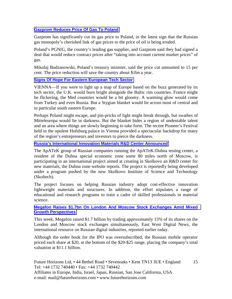## **[Gazprom Reduces Price Of Gas To Poland](http://www.ft.com/cms/s/0/65ee5514-2836-11e2-a335-00144feabdc0.html#axzz2BXEPW8UR)**

Gazprom has significantly cut its gas price to Poland, in the latest sign that the Russian gas monopoly's cherished link of gas prices to the price of oil is being eroded.

Poland's PGNiG, the country's leading gas supplier, and Gazprom said they had signed a deal that would reduce contract prices after "taking into account current market prices" of gas.

Mikolaj Budzanowski, Poland's treasury minister, said the price cut amounted to 15 per cent. The price reduction will save the country about \$1bn a year.

## **[Signs Of Hope For Eastern European Tech Sector](http://blogs.wsj.com/tech-europe/2012/11/09/signs-of-hope-for-eastern-european-tech-sector/?mod=djemTechEurope_t=djemTECH)**

VIENNA—If you were to light up a map of Europe based on the buzz generated by its tech sector, the U.K. would burn bright alongside the Baltic rim countries. France might be flickering, the Med countries would be a bit gloomy. A warming glow would come from Turkey and even Russia. But a Stygian blanket would lie across most of central and in particular south eastern Europe.

Perhaps Poland might escape, and pin-pricks of light might break through, but swathes of Mitteleuropa would lie in darkness. But the blanket hides a region of undeniable talent and an area where things are slowly beginning to take form. The recent Pioneer's Festival held in the opulent Hofsburg palace in Vienna provided a spectacular backdrop for many of the region's entrepreneurs and investors to pierce the darkness.

#### **[Russia's International Innovation Materials R&D Center Announced](http://www.marchmontnews.com/Technology-Innovation/Central-regions/19175-Russias-international-innovation-materials-RD-center-announced.html)**

The ApATeK group of Russian companies running the ApATeK-Dubna testing center, a resident of the Dubna special economic zone some 80 miles north of Moscow, is participating in an international project aimed at creating in Skolkovo an R&D center for new materials, the Dubna zone website reports. The project is reportedly being developed under a program pushed by the new Skolkovo Institute of Science and Technology (Skoltech).

The project focuses on helping Russian industry adopt cost-effective innovation lightweight materials and structures. In addition, the effort stipulates a range of educational and research programs to train a cadre of skilled professionals in material science.

#### **[Megafon Raises \\$1.7bn On London And Moscow Stock Exchanges Amid Mixed](http://www.marchmontnews.com/Telecoms-Media/Central-regions/19198-Megafon-raises-17bn-London-and-Moscow-stock-exchanges-amid-mixed-growth-perspectives.html)  [Growth Perspectives](http://www.marchmontnews.com/Telecoms-Media/Central-regions/19198-Megafon-raises-17bn-London-and-Moscow-stock-exchanges-amid-mixed-growth-perspectives.html)**

This week, Megafon raised \$1.7 billion by trading approximately 15% of its shares on the London and Moscow stock exchanges simultaneously, East West Digital News, the international resource on Russian digital industries, reported earlier today.

Although the order book for the IPO was oversubscribed, the Russian mobile operator priced each share at \$20, at the bottom of the \$20-\$25 range, placing the company's total valuation at \$11.1 billion.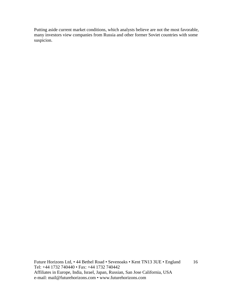Putting aside current market conditions, which analysts believe are not the most favorable, many investors view companies from Russia and other former Soviet countries with some suspicion.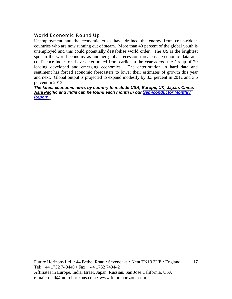## World Economic Round Up

Unemployment and the economic crisis have drained the energy from crisis-ridden countries who are now running out of steam. More than 40 percent of the global youth is unemployed and this could potentially destabilise world order. The US is the brightest spot in the world economy as another global recession threatens. Economic data and confidence indicators have deteriorated from earlier in the year across the Group of 20 leading developed and emerging economies. The deterioration in hard data and sentiment has forced economic forecasters to lower their estimates of growth this year and next. Global output is projected to expand modestly by 3.3 percent in 2012 and 3.6 percent in 2013.

*The latest economic news by country to include USA, Europe, UK, Japan, China, Asia Pacific and India can be found each month in our [Semiconductor Monthly](http://www.futurehorizons.com/page/18/Global-Semiconductor-Report)  [Report.](http://www.futurehorizons.com/page/18/Global-Semiconductor-Report)*